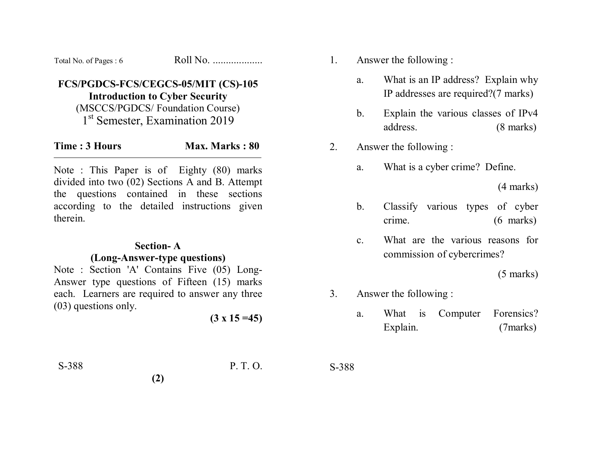| Total No. of Pages: 6 | Roll No. |
|-----------------------|----------|
|-----------------------|----------|

# **FCS/PGDCS-FCS/CEGCS-05/MIT (CS)-105 Introduction to Cyber Security**

(MSCCS/PGDCS/ Foundation Course) 1<sup>st</sup> Semester, Examination 2019

| Time: 3 Hours | <b>Max. Marks: 80</b> |
|---------------|-----------------------|
|               |                       |

Note : This Paper is of Eighty (80) marks divided into two (02) Sections A and B. Attempt the questions contained in these sections according to the detailed instructions given therein.

#### **Section- A**

#### **(Long-Answer-type questions)**

Note : Section 'A' Contains Five (05) Long-Answer type questions of Fifteen (15) marks each. Learners are required to answer any three (03) questions only.

**(2)** 

 $(3 \times 15 = 45)$ 

1. Answer the following :

- a. What is an IP address? Explain why IP addresses are required?(7 marks)
- b. Explain the various classes of IPv4 address. (8 marks)
- 2. Answer the following :
	- a. What is a cyber crime? Define.

(4 marks)

- b. Classify various types of cyber crime. (6 marks)
- c. What are the various reasons for commission of cybercrimes?

(5 marks)

- 3. Answer the following :
	- a. What is Computer Forensics? Explain. (7marks)

S-388 P. T. O.

S-388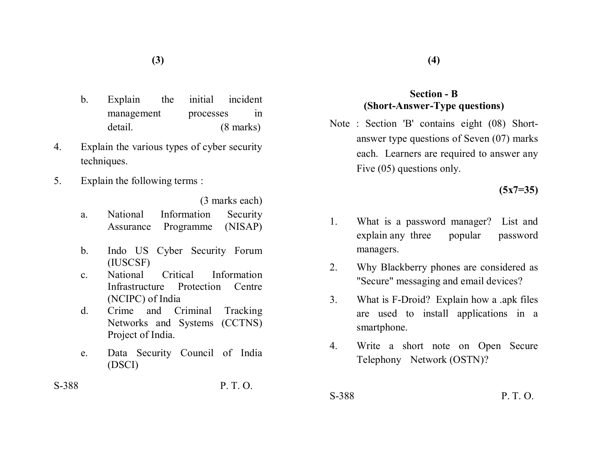- b. Explain the initial incident management processes in detail. (8 marks)
- 4. Explain the various types of cyber security techniques.
- 5. Explain the following terms :

(3 marks each)

- a. National Information Security Assurance Programme (NISAP)
- b. Indo US Cyber Security Forum (IUSCSF)
- c. National Critical Information Infrastructure Protection Centre (NCIPC) of India
- d. Crime and Criminal Tracking Networks and Systems (CCTNS) Project of India.
- e. Data Security Council of India (DSCI)

## S-388 P. T. O.

### **Section - B (Short-Answer-Type questions)**

Note : Section 'B' contains eight (08) Shortanswer type questions of Seven (07) marks each. Learners are required to answer any Five (05) questions only.

**(5x7=35)** 

- 1. What is a password manager? List and explain any three popular password managers.
- 2. Why Blackberry phones are considered as "Secure" messaging and email devices?
- 3. What is F-Droid? Explain how a .apk files are used to install applications in a smartphone.
- 4. Write a short note on Open Secure Telephony Network (OSTN)?
- S-388 P. T. O.